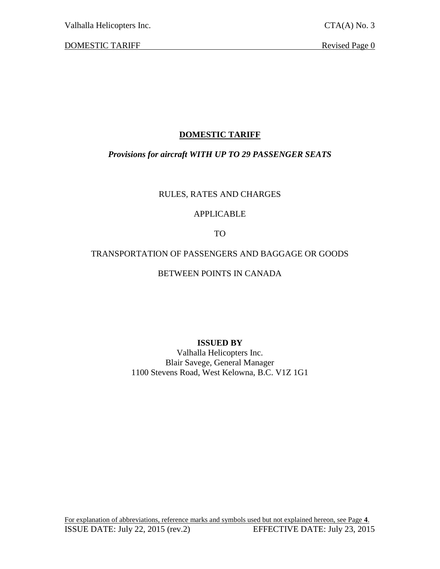Valhalla Helicopters Inc. CTA(A) No. 3

DOMESTIC TARIFF Revised Page 0

# **DOMESTIC TARIFF**

# *Provisions for aircraft WITH UP TO 29 PASSENGER SEATS*

# RULES, RATES AND CHARGES

# APPLICABLE

TO

# TRANSPORTATION OF PASSENGERS AND BAGGAGE OR GOODS

# BETWEEN POINTS IN CANADA

# **ISSUED BY**

Valhalla Helicopters Inc. Blair Savege, General Manager 1100 Stevens Road, West Kelowna, B.C. V1Z 1G1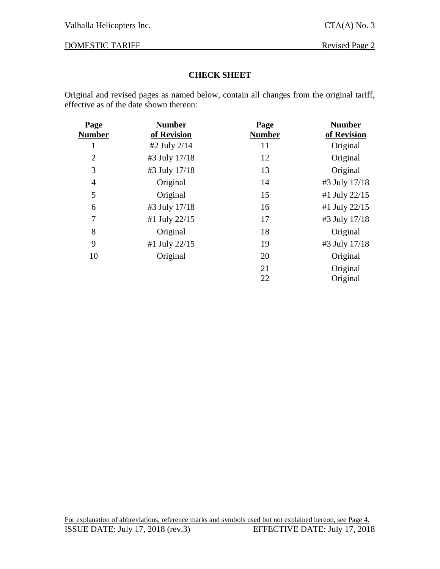# DOMESTIC TARIFF Revised Page 2

#### **CHECK SHEET**

Original and revised pages as named below, contain all changes from the original tariff, effective as of the date shown thereon:

| Page           | <b>Number</b> | Page          | <b>Number</b> |
|----------------|---------------|---------------|---------------|
| <b>Number</b>  | of Revision   | <b>Number</b> | of Revision   |
| 1              | #2 July 2/14  | 11            | Original      |
| $\overline{2}$ | #3 July 17/18 | 12            | Original      |
| 3              | #3 July 17/18 | 13            | Original      |
| $\overline{4}$ | Original      | 14            | #3 July 17/18 |
| 5              | Original      | 15            | #1 July 22/15 |
| 6              | #3 July 17/18 | 16            | #1 July 22/15 |
| 7              | #1 July 22/15 | 17            | #3 July 17/18 |
| 8              | Original      | 18            | Original      |
| 9              | #1 July 22/15 | 19            | #3 July 17/18 |
| 10             | Original      | 20            | Original      |
|                |               | 21            | Original      |
|                |               | 22            | Original      |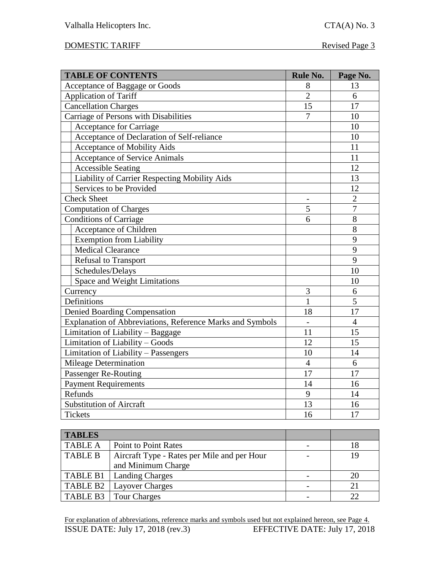# DOMESTIC TARIFF Revised Page 3

| <b>TABLE OF CONTENTS</b>                                  | <b>Rule No.</b> | Page No.       |
|-----------------------------------------------------------|-----------------|----------------|
| Acceptance of Baggage or Goods                            | 8               | 13             |
| <b>Application of Tariff</b>                              | $\overline{2}$  | 6              |
| <b>Cancellation Charges</b>                               | 15              | 17             |
| Carriage of Persons with Disabilities                     | $\overline{7}$  | 10             |
| <b>Acceptance for Carriage</b>                            |                 | 10             |
| Acceptance of Declaration of Self-reliance                |                 | 10             |
| Acceptance of Mobility Aids                               |                 | 11             |
| <b>Acceptance of Service Animals</b>                      |                 | 11             |
| <b>Accessible Seating</b>                                 |                 | 12             |
| Liability of Carrier Respecting Mobility Aids             |                 | 13             |
| Services to be Provided                                   |                 | 12             |
| <b>Check Sheet</b>                                        |                 | $\overline{2}$ |
| Computation of Charges                                    | 5               | $\overline{7}$ |
| <b>Conditions of Carriage</b>                             | 6               | 8              |
| Acceptance of Children                                    |                 | 8              |
| <b>Exemption from Liability</b>                           |                 | 9              |
| <b>Medical Clearance</b>                                  |                 | 9              |
| <b>Refusal to Transport</b>                               |                 | 9              |
| Schedules/Delays                                          |                 | 10             |
| Space and Weight Limitations                              |                 | 10             |
| Currency                                                  | 3               | 6              |
| Definitions                                               | $\mathbf{1}$    | 5              |
| <b>Denied Boarding Compensation</b>                       | 18              | 17             |
| Explanation of Abbreviations, Reference Marks and Symbols |                 | $\overline{4}$ |
| Limitation of Liability - Baggage                         | 11              | 15             |
| Limitation of Liability - Goods                           | 12              | 15             |
| Limitation of Liability - Passengers                      | 10              | 14             |
| Mileage Determination                                     | $\overline{4}$  | 6              |
| Passenger Re-Routing                                      | 17              | 17             |
| <b>Payment Requirements</b>                               | 14              | 16             |
| Refunds                                                   | 9               | 14             |
| <b>Substitution of Aircraft</b>                           | 13              | 16             |
| <b>Tickets</b>                                            | 16              | 17             |

| <b>TABLES</b>  |                                             |    |
|----------------|---------------------------------------------|----|
| <b>TABLE A</b> | <b>Point to Point Rates</b>                 |    |
| <b>TABLE B</b> | Aircraft Type - Rates per Mile and per Hour | 19 |
|                | and Minimum Charge                          |    |
|                | <b>TABLE B1</b>   Landing Charges           |    |
| TABLE B2       | <b>Layover Charges</b>                      |    |
| TABLE B3       | Tour Charges                                |    |

For explanation of abbreviations, reference marks and symbols used but not explained hereon, see Page 4. ISSUE DATE: July 17, 2018 (rev.3) EFFECTIVE DATE: July 17, 2018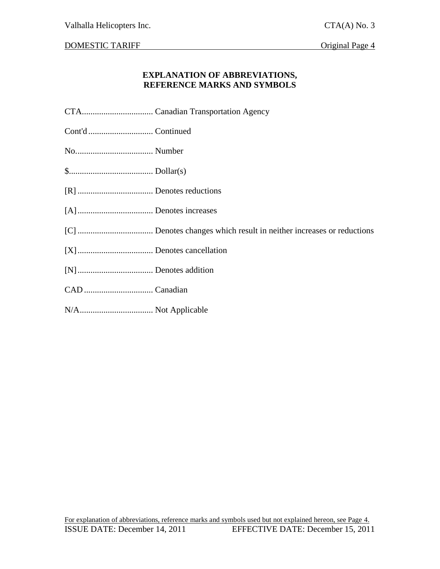DOMESTIC TARIFF CONSERVATION CONSERVERSE Original Page 4

#### **EXPLANATION OF ABBREVIATIONS, REFERENCE MARKS AND SYMBOLS**

- CTA................................. Canadian Transportation Agency
- Cont'd .............................. Continued
- No.................................... Number
- \$....................................... Dollar(s)
- [R] ................................... Denotes reductions
- [A]................................... Denotes increases
- [C] ................................... Denotes changes which result in neither increases or reductions
- [X]................................... Denotes cancellation
- [N]................................... Denotes addition
- CAD ................................ Canadian
- N/A.................................. Not Applicable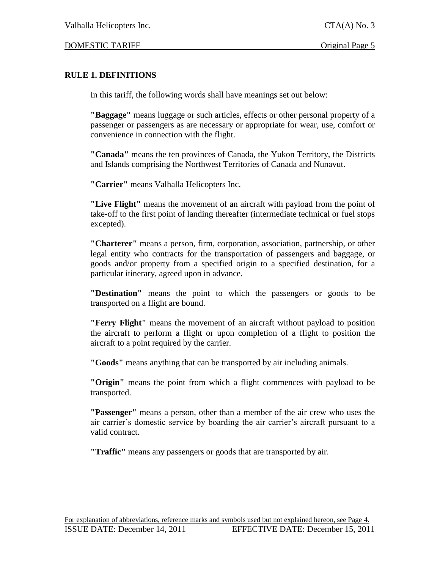#### DOMESTIC TARIFF **Original Page 5**

# **RULE 1. DEFINITIONS**

In this tariff, the following words shall have meanings set out below:

**"Baggage"** means luggage or such articles, effects or other personal property of a passenger or passengers as are necessary or appropriate for wear, use, comfort or convenience in connection with the flight.

**"Canada"** means the ten provinces of Canada, the Yukon Territory, the Districts and Islands comprising the Northwest Territories of Canada and Nunavut.

**"Carrier"** means Valhalla Helicopters Inc.

**"Live Flight"** means the movement of an aircraft with payload from the point of take-off to the first point of landing thereafter (intermediate technical or fuel stops excepted).

**"Charterer"** means a person, firm, corporation, association, partnership, or other legal entity who contracts for the transportation of passengers and baggage, or goods and/or property from a specified origin to a specified destination, for a particular itinerary, agreed upon in advance.

**"Destination"** means the point to which the passengers or goods to be transported on a flight are bound.

**"Ferry Flight"** means the movement of an aircraft without payload to position the aircraft to perform a flight or upon completion of a flight to position the aircraft to a point required by the carrier.

**"Goods"** means anything that can be transported by air including animals.

**"Origin"** means the point from which a flight commences with payload to be transported.

**"Passenger"** means a person, other than a member of the air crew who uses the air carrier's domestic service by boarding the air carrier's aircraft pursuant to a valid contract.

**"Traffic"** means any passengers or goods that are transported by air.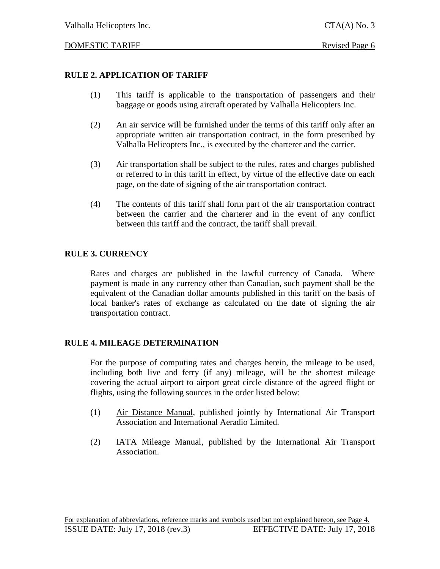### DOMESTIC TARIFF Revised Page 6

# **RULE 2. APPLICATION OF TARIFF**

- (1) This tariff is applicable to the transportation of passengers and their baggage or goods using aircraft operated by Valhalla Helicopters Inc.
- (2) An air service will be furnished under the terms of this tariff only after an appropriate written air transportation contract, in the form prescribed by Valhalla Helicopters Inc., is executed by the charterer and the carrier.
- (3) Air transportation shall be subject to the rules, rates and charges published or referred to in this tariff in effect, by virtue of the effective date on each page, on the date of signing of the air transportation contract.
- (4) The contents of this tariff shall form part of the air transportation contract between the carrier and the charterer and in the event of any conflict between this tariff and the contract, the tariff shall prevail.

# **RULE 3. CURRENCY**

Rates and charges are published in the lawful currency of Canada. Where payment is made in any currency other than Canadian, such payment shall be the equivalent of the Canadian dollar amounts published in this tariff on the basis of local banker's rates of exchange as calculated on the date of signing the air transportation contract.

### **RULE 4. MILEAGE DETERMINATION**

For the purpose of computing rates and charges herein, the mileage to be used, including both live and ferry (if any) mileage, will be the shortest mileage covering the actual airport to airport great circle distance of the agreed flight or flights, using the following sources in the order listed below:

- (1) Air Distance Manual, published jointly by International Air Transport Association and International Aeradio Limited.
- (2) IATA Mileage Manual, published by the International Air Transport Association.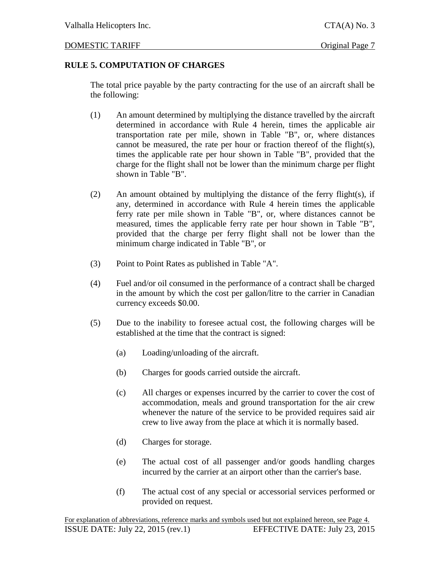# **RULE 5. COMPUTATION OF CHARGES**

The total price payable by the party contracting for the use of an aircraft shall be the following:

- (1) An amount determined by multiplying the distance travelled by the aircraft determined in accordance with Rule 4 herein, times the applicable air transportation rate per mile, shown in Table "B", or, where distances cannot be measured, the rate per hour or fraction thereof of the flight(s), times the applicable rate per hour shown in Table "B", provided that the charge for the flight shall not be lower than the minimum charge per flight shown in Table "B".
- (2) An amount obtained by multiplying the distance of the ferry flight(s), if any, determined in accordance with Rule 4 herein times the applicable ferry rate per mile shown in Table "B", or, where distances cannot be measured, times the applicable ferry rate per hour shown in Table "B", provided that the charge per ferry flight shall not be lower than the minimum charge indicated in Table "B", or
- (3) Point to Point Rates as published in Table "A".
- (4) Fuel and/or oil consumed in the performance of a contract shall be charged in the amount by which the cost per gallon/litre to the carrier in Canadian currency exceeds \$0.00.
- (5) Due to the inability to foresee actual cost, the following charges will be established at the time that the contract is signed:
	- (a) Loading/unloading of the aircraft.
	- (b) Charges for goods carried outside the aircraft.
	- (c) All charges or expenses incurred by the carrier to cover the cost of accommodation, meals and ground transportation for the air crew whenever the nature of the service to be provided requires said air crew to live away from the place at which it is normally based.
	- (d) Charges for storage.
	- (e) The actual cost of all passenger and/or goods handling charges incurred by the carrier at an airport other than the carrier's base.
	- (f) The actual cost of any special or accessorial services performed or provided on request.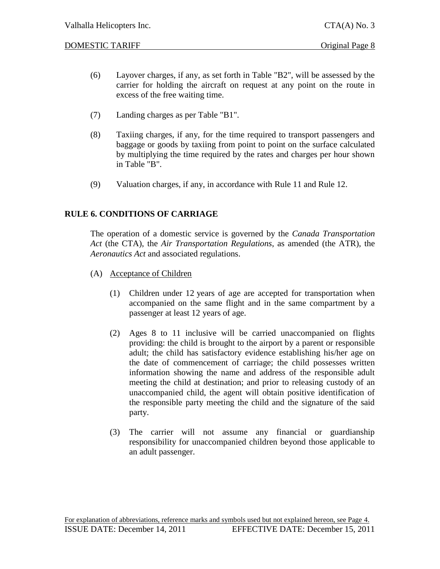#### DOMESTIC TARIFF CONSERVATION CONSERVERSE Original Page 8

- (6) Layover charges, if any, as set forth in Table "B2", will be assessed by the carrier for holding the aircraft on request at any point on the route in excess of the free waiting time.
- (7) Landing charges as per Table "B1".
- (8) Taxiing charges, if any, for the time required to transport passengers and baggage or goods by taxiing from point to point on the surface calculated by multiplying the time required by the rates and charges per hour shown in Table "B".
- (9) Valuation charges, if any, in accordance with Rule 11 and Rule 12.

# **RULE 6. CONDITIONS OF CARRIAGE**

The operation of a domestic service is governed by the *Canada Transportation Act* (the CTA), the *Air Transportation Regulations*, as amended (the ATR), the *Aeronautics Act* and associated regulations.

- (A) Acceptance of Children
	- (1) Children under 12 years of age are accepted for transportation when accompanied on the same flight and in the same compartment by a passenger at least 12 years of age.
	- (2) Ages 8 to 11 inclusive will be carried unaccompanied on flights providing: the child is brought to the airport by a parent or responsible adult; the child has satisfactory evidence establishing his/her age on the date of commencement of carriage; the child possesses written information showing the name and address of the responsible adult meeting the child at destination; and prior to releasing custody of an unaccompanied child, the agent will obtain positive identification of the responsible party meeting the child and the signature of the said party.
	- (3) The carrier will not assume any financial or guardianship responsibility for unaccompanied children beyond those applicable to an adult passenger.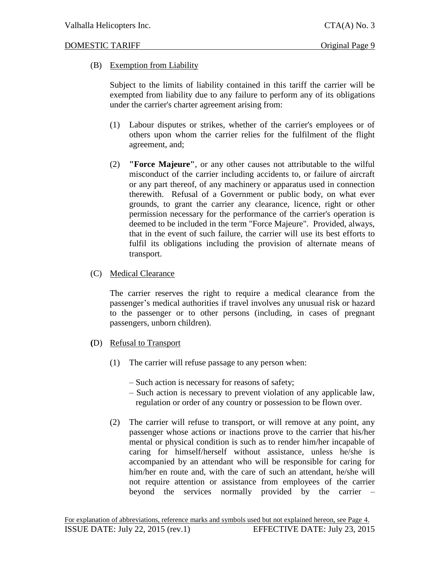### (B) Exemption from Liability

Subject to the limits of liability contained in this tariff the carrier will be exempted from liability due to any failure to perform any of its obligations under the carrier's charter agreement arising from:

- (1) Labour disputes or strikes, whether of the carrier's employees or of others upon whom the carrier relies for the fulfilment of the flight agreement, and;
- (2) **"Force Majeure"**, or any other causes not attributable to the wilful misconduct of the carrier including accidents to, or failure of aircraft or any part thereof, of any machinery or apparatus used in connection therewith. Refusal of a Government or public body, on what ever grounds, to grant the carrier any clearance, licence, right or other permission necessary for the performance of the carrier's operation is deemed to be included in the term "Force Majeure". Provided, always, that in the event of such failure, the carrier will use its best efforts to fulfil its obligations including the provision of alternate means of transport.

#### (C) Medical Clearance

The carrier reserves the right to require a medical clearance from the passenger's medical authorities if travel involves any unusual risk or hazard to the passenger or to other persons (including, in cases of pregnant passengers, unborn children).

- **(**D) Refusal to Transport
	- (1) The carrier will refuse passage to any person when:
		- Such action is necessary for reasons of safety;
		- Such action is necessary to prevent violation of any applicable law, regulation or order of any country or possession to be flown over.
	- (2) The carrier will refuse to transport, or will remove at any point, any passenger whose actions or inactions prove to the carrier that his/her mental or physical condition is such as to render him/her incapable of caring for himself/herself without assistance, unless he/she is accompanied by an attendant who will be responsible for caring for him/her en route and, with the care of such an attendant, he/she will not require attention or assistance from employees of the carrier beyond the services normally provided by the carrier –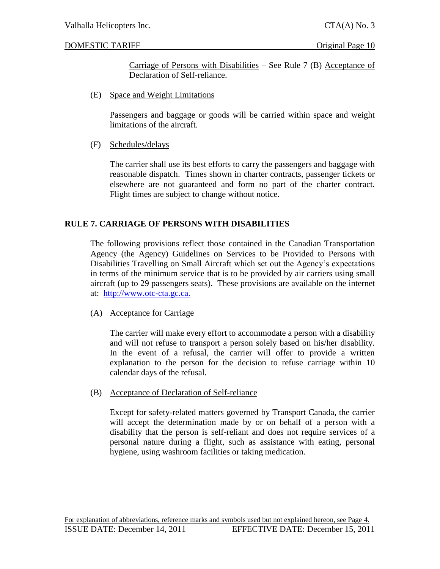#### DOMESTIC TARIFF CONSERVATION CONSERVERSE ORIGInal Page 10

Carriage of Persons with Disabilities – See Rule 7 (B) Acceptance of Declaration of Self-reliance.

(E) Space and Weight Limitations

Passengers and baggage or goods will be carried within space and weight limitations of the aircraft.

### (F) Schedules/delays

The carrier shall use its best efforts to carry the passengers and baggage with reasonable dispatch. Times shown in charter contracts, passenger tickets or elsewhere are not guaranteed and form no part of the charter contract. Flight times are subject to change without notice.

### **RULE 7. CARRIAGE OF PERSONS WITH DISABILITIES**

The following provisions reflect those contained in the Canadian Transportation Agency (the Agency) Guidelines on Services to be Provided to Persons with Disabilities Travelling on Small Aircraft which set out the Agency's expectations in terms of the minimum service that is to be provided by air carriers using small aircraft (up to 29 passengers seats). These provisions are available on the internet at: [http://www.otc-cta.gc.ca.](http://www.otc-cta.gc.ca/)

#### (A) Acceptance for Carriage

The carrier will make every effort to accommodate a person with a disability and will not refuse to transport a person solely based on his/her disability. In the event of a refusal, the carrier will offer to provide a written explanation to the person for the decision to refuse carriage within 10 calendar days of the refusal.

(B) Acceptance of Declaration of Self-reliance

Except for safety-related matters governed by Transport Canada, the carrier will accept the determination made by or on behalf of a person with a disability that the person is self-reliant and does not require services of a personal nature during a flight, such as assistance with eating, personal hygiene, using washroom facilities or taking medication.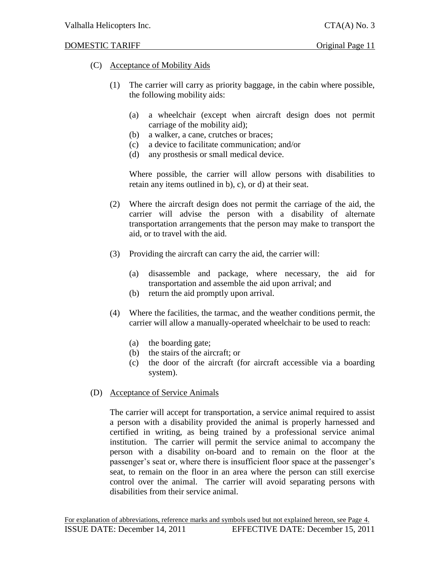#### DOMESTIC TARIFF CONSERVATION CONSERVED ORIGINAl Page 11

- (C) Acceptance of Mobility Aids
	- (1) The carrier will carry as priority baggage, in the cabin where possible, the following mobility aids:
		- (a) a wheelchair (except when aircraft design does not permit carriage of the mobility aid);
		- (b) a walker, a cane, crutches or braces;
		- (c) a device to facilitate communication; and/or
		- (d) any prosthesis or small medical device.

Where possible, the carrier will allow persons with disabilities to retain any items outlined in b), c), or d) at their seat.

- (2) Where the aircraft design does not permit the carriage of the aid, the carrier will advise the person with a disability of alternate transportation arrangements that the person may make to transport the aid, or to travel with the aid.
- (3) Providing the aircraft can carry the aid, the carrier will:
	- (a) disassemble and package, where necessary, the aid for transportation and assemble the aid upon arrival; and
	- (b) return the aid promptly upon arrival.
- (4) Where the facilities, the tarmac, and the weather conditions permit, the carrier will allow a manually-operated wheelchair to be used to reach:
	- (a) the boarding gate;
	- (b) the stairs of the aircraft; or
	- (c) the door of the aircraft (for aircraft accessible via a boarding system).
- (D) Acceptance of Service Animals

The carrier will accept for transportation, a service animal required to assist a person with a disability provided the animal is properly harnessed and certified in writing, as being trained by a professional service animal institution. The carrier will permit the service animal to accompany the person with a disability on-board and to remain on the floor at the passenger's seat or, where there is insufficient floor space at the passenger's seat, to remain on the floor in an area where the person can still exercise control over the animal. The carrier will avoid separating persons with disabilities from their service animal.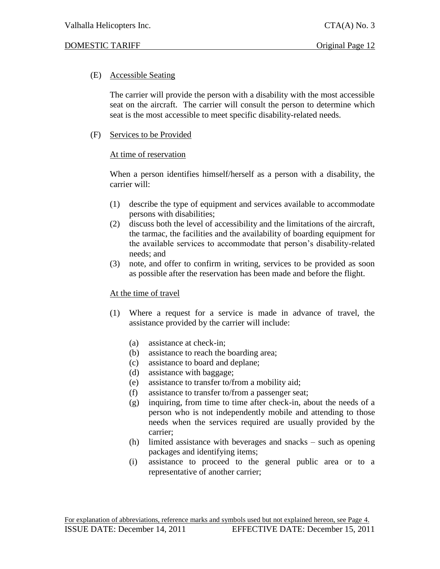### (E) Accessible Seating

The carrier will provide the person with a disability with the most accessible seat on the aircraft. The carrier will consult the person to determine which seat is the most accessible to meet specific disability-related needs.

### (F) Services to be Provided

#### At time of reservation

When a person identifies himself/herself as a person with a disability, the carrier will:

- (1) describe the type of equipment and services available to accommodate persons with disabilities;
- (2) discuss both the level of accessibility and the limitations of the aircraft, the tarmac, the facilities and the availability of boarding equipment for the available services to accommodate that person's disability-related needs; and
- (3) note, and offer to confirm in writing, services to be provided as soon as possible after the reservation has been made and before the flight.

### At the time of travel

- (1) Where a request for a service is made in advance of travel, the assistance provided by the carrier will include:
	- (a) assistance at check-in;
	- (b) assistance to reach the boarding area;
	- (c) assistance to board and deplane;
	- (d) assistance with baggage;
	- (e) assistance to transfer to/from a mobility aid;
	- (f) assistance to transfer to/from a passenger seat;
	- (g) inquiring, from time to time after check-in, about the needs of a person who is not independently mobile and attending to those needs when the services required are usually provided by the carrier;
	- (h) limited assistance with beverages and snacks such as opening packages and identifying items;
	- (i) assistance to proceed to the general public area or to a representative of another carrier;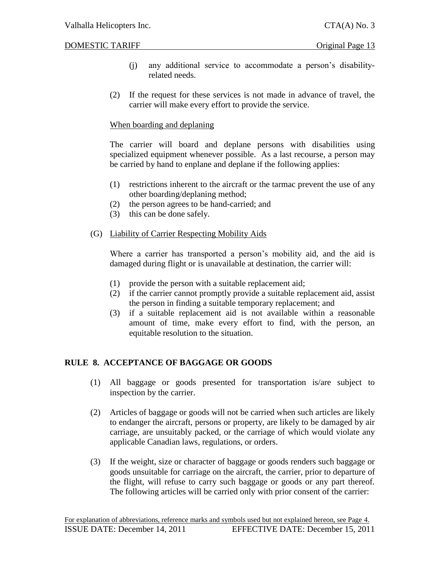DOMESTIC TARIFF CONSERVATION CONSERVERSE Original Page 13

- (j) any additional service to accommodate a person's disabilityrelated needs.
- (2) If the request for these services is not made in advance of travel, the carrier will make every effort to provide the service.

### When boarding and deplaning

The carrier will board and deplane persons with disabilities using specialized equipment whenever possible. As a last recourse, a person may be carried by hand to enplane and deplane if the following applies:

- (1) restrictions inherent to the aircraft or the tarmac prevent the use of any other boarding/deplaning method;
- (2) the person agrees to be hand-carried; and
- (3) this can be done safely.

### (G) Liability of Carrier Respecting Mobility Aids

Where a carrier has transported a person's mobility aid, and the aid is damaged during flight or is unavailable at destination, the carrier will:

- (1) provide the person with a suitable replacement aid;
- (2) if the carrier cannot promptly provide a suitable replacement aid, assist the person in finding a suitable temporary replacement; and
- (3) if a suitable replacement aid is not available within a reasonable amount of time, make every effort to find, with the person, an equitable resolution to the situation.

# **RULE 8. ACCEPTANCE OF BAGGAGE OR GOODS**

- (1) All baggage or goods presented for transportation is/are subject to inspection by the carrier.
- (2) Articles of baggage or goods will not be carried when such articles are likely to endanger the aircraft, persons or property, are likely to be damaged by air carriage, are unsuitably packed, or the carriage of which would violate any applicable Canadian laws, regulations, or orders.
- (3) If the weight, size or character of baggage or goods renders such baggage or goods unsuitable for carriage on the aircraft, the carrier, prior to departure of the flight, will refuse to carry such baggage or goods or any part thereof. The following articles will be carried only with prior consent of the carrier: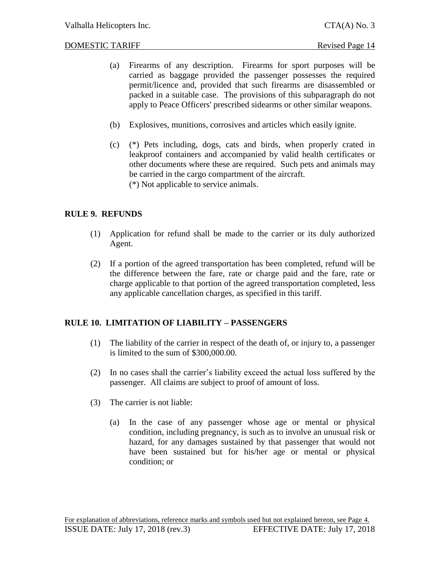#### DOMESTIC TARIFF Revised Page 14

- (a) Firearms of any description. Firearms for sport purposes will be carried as baggage provided the passenger possesses the required permit/licence and, provided that such firearms are disassembled or packed in a suitable case. The provisions of this subparagraph do not apply to Peace Officers' prescribed sidearms or other similar weapons.
- (b) Explosives, munitions, corrosives and articles which easily ignite.
- (c) (\*) Pets including, dogs, cats and birds, when properly crated in leakproof containers and accompanied by valid health certificates or other documents where these are required. Such pets and animals may be carried in the cargo compartment of the aircraft. (\*) Not applicable to service animals.

# **RULE 9. REFUNDS**

- (1) Application for refund shall be made to the carrier or its duly authorized Agent.
- (2) If a portion of the agreed transportation has been completed, refund will be the difference between the fare, rate or charge paid and the fare, rate or charge applicable to that portion of the agreed transportation completed, less any applicable cancellation charges, as specified in this tariff.

### **RULE 10. LIMITATION OF LIABILITY – PASSENGERS**

- (1) The liability of the carrier in respect of the death of, or injury to, a passenger is limited to the sum of \$300,000.00.
- (2) In no cases shall the carrier's liability exceed the actual loss suffered by the passenger. All claims are subject to proof of amount of loss.
- (3) The carrier is not liable:
	- (a) In the case of any passenger whose age or mental or physical condition, including pregnancy, is such as to involve an unusual risk or hazard, for any damages sustained by that passenger that would not have been sustained but for his/her age or mental or physical condition; or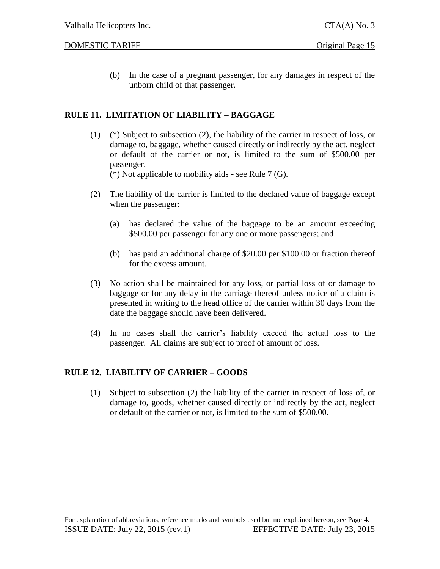#### DOMESTIC TARIFF **Original Page 15**

(b) In the case of a pregnant passenger, for any damages in respect of the unborn child of that passenger.

# **RULE 11. LIMITATION OF LIABILITY – BAGGAGE**

(1) (\*) Subject to subsection (2), the liability of the carrier in respect of loss, or damage to, baggage, whether caused directly or indirectly by the act, neglect or default of the carrier or not, is limited to the sum of \$500.00 per passenger.

(\*) Not applicable to mobility aids - see Rule 7 (G).

- (2) The liability of the carrier is limited to the declared value of baggage except when the passenger:
	- (a) has declared the value of the baggage to be an amount exceeding \$500.00 per passenger for any one or more passengers; and
	- (b) has paid an additional charge of \$20.00 per \$100.00 or fraction thereof for the excess amount.
- (3) No action shall be maintained for any loss, or partial loss of or damage to baggage or for any delay in the carriage thereof unless notice of a claim is presented in writing to the head office of the carrier within 30 days from the date the baggage should have been delivered.
- (4) In no cases shall the carrier's liability exceed the actual loss to the passenger. All claims are subject to proof of amount of loss.

### **RULE 12. LIABILITY OF CARRIER – GOODS**

(1) Subject to subsection (2) the liability of the carrier in respect of loss of, or damage to, goods, whether caused directly or indirectly by the act, neglect or default of the carrier or not, is limited to the sum of \$500.00.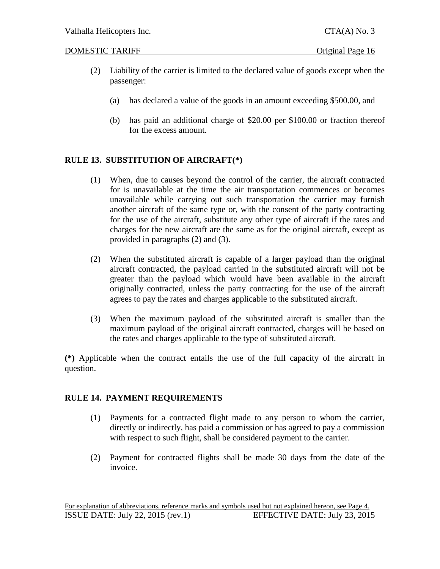#### DOMESTIC TARIFF **Original Page 16**

- (2) Liability of the carrier is limited to the declared value of goods except when the passenger:
	- (a) has declared a value of the goods in an amount exceeding \$500.00, and
	- (b) has paid an additional charge of \$20.00 per \$100.00 or fraction thereof for the excess amount.

# **RULE 13. SUBSTITUTION OF AIRCRAFT(\*)**

- (1) When, due to causes beyond the control of the carrier, the aircraft contracted for is unavailable at the time the air transportation commences or becomes unavailable while carrying out such transportation the carrier may furnish another aircraft of the same type or, with the consent of the party contracting for the use of the aircraft, substitute any other type of aircraft if the rates and charges for the new aircraft are the same as for the original aircraft, except as provided in paragraphs (2) and (3).
- (2) When the substituted aircraft is capable of a larger payload than the original aircraft contracted, the payload carried in the substituted aircraft will not be greater than the payload which would have been available in the aircraft originally contracted, unless the party contracting for the use of the aircraft agrees to pay the rates and charges applicable to the substituted aircraft.
- (3) When the maximum payload of the substituted aircraft is smaller than the maximum payload of the original aircraft contracted, charges will be based on the rates and charges applicable to the type of substituted aircraft.

**(\*)** Applicable when the contract entails the use of the full capacity of the aircraft in question.

### **RULE 14. PAYMENT REQUIREMENTS**

- (1) Payments for a contracted flight made to any person to whom the carrier, directly or indirectly, has paid a commission or has agreed to pay a commission with respect to such flight, shall be considered payment to the carrier.
- (2) Payment for contracted flights shall be made 30 days from the date of the invoice.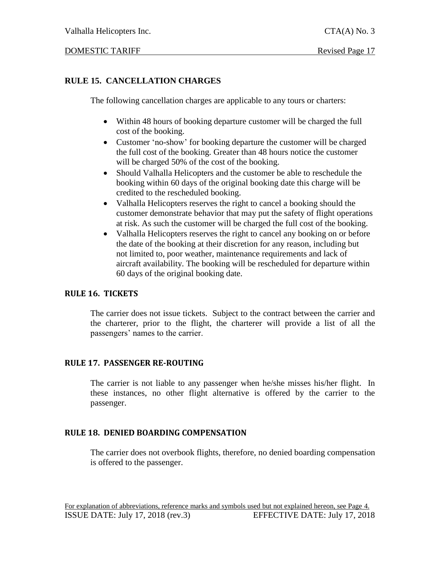# **RULE 15. CANCELLATION CHARGES**

The following cancellation charges are applicable to any tours or charters:

- Within 48 hours of booking departure customer will be charged the full cost of the booking.
- Customer 'no-show' for booking departure the customer will be charged the full cost of the booking. Greater than 48 hours notice the customer will be charged 50% of the cost of the booking.
- Should Valhalla Helicopters and the customer be able to reschedule the booking within 60 days of the original booking date this charge will be credited to the rescheduled booking.
- Valhalla Helicopters reserves the right to cancel a booking should the customer demonstrate behavior that may put the safety of flight operations at risk. As such the customer will be charged the full cost of the booking.
- Valhalla Helicopters reserves the right to cancel any booking on or before the date of the booking at their discretion for any reason, including but not limited to, poor weather, maintenance requirements and lack of aircraft availability. The booking will be rescheduled for departure within 60 days of the original booking date.

#### **RULE 16. TICKETS**

The carrier does not issue tickets. Subject to the contract between the carrier and the charterer, prior to the flight, the charterer will provide a list of all the passengers' names to the carrier.

### **RULE 17. PASSENGER RE-ROUTING**

The carrier is not liable to any passenger when he/she misses his/her flight. In these instances, no other flight alternative is offered by the carrier to the passenger.

### **RULE 18. DENIED BOARDING COMPENSATION**

The carrier does not overbook flights, therefore, no denied boarding compensation is offered to the passenger.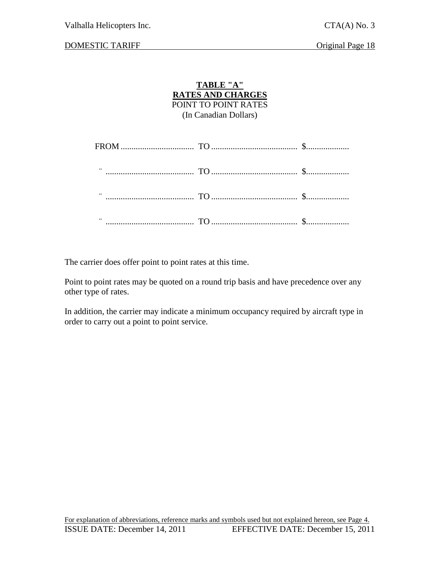#### DOMESTIC TARIFF Original Page 18

#### **TABLE "A" RATES AND CHARGES** POINT TO POINT RATES (In Canadian Dollars)

The carrier does offer point to point rates at this time.

Point to point rates may be quoted on a round trip basis and have precedence over any other type of rates.

In addition, the carrier may indicate a minimum occupancy required by aircraft type in order to carry out a point to point service.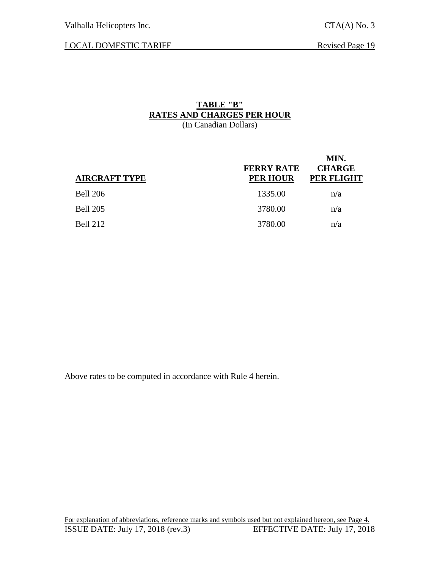LOCAL DOMESTIC TARIFF Revised Page 19

### **TABLE "B" RATES AND CHARGES PER HOUR** (In Canadian Dollars)

| <b>AIRCRAFT TYPE</b> | <b>FERRY RATE</b><br><b>PER HOUR</b> | MIN.<br><b>CHARGE</b><br>PER FLIGHT |
|----------------------|--------------------------------------|-------------------------------------|
| <b>Bell 206</b>      | 1335.00                              | n/a                                 |
| <b>Bell 205</b>      | 3780.00                              | n/a                                 |
| <b>Bell 212</b>      | 3780.00                              | n/a                                 |

Above rates to be computed in accordance with Rule 4 herein.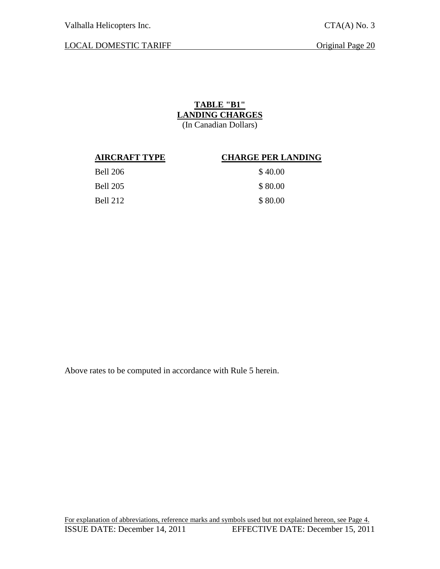# LOCAL DOMESTIC TARIFF Original Page 20

# **TABLE "B1" LANDING CHARGES**

(In Canadian Dollars)

#### **AIRCRAFT TYPE CHARGE PER LANDING**

| <b>Bell 206</b> | \$40.00 |
|-----------------|---------|
| Bell 205        | \$80.00 |
| Bell 212        | \$80.00 |

Above rates to be computed in accordance with Rule 5 herein.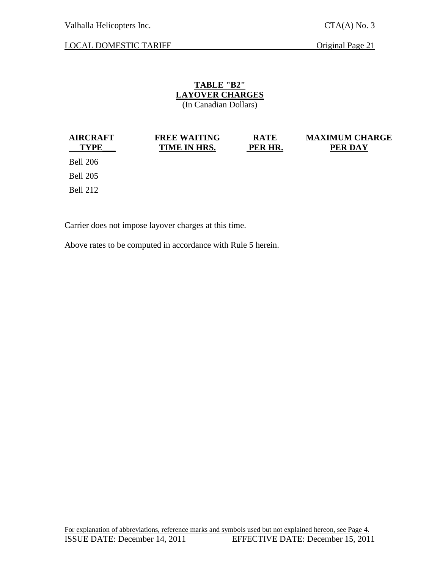Valhalla Helicopters Inc. CTA(A) No. 3

LOCAL DOMESTIC TARIFF Original Page 21

# **TABLE "B2" LAYOVER CHARGES**

(In Canadian Dollars)

| <b>AIRCRAFT</b> |  |  |
|-----------------|--|--|
| <b>TYPE</b>     |  |  |

#### **FREE WAITING TIME IN HRS.**

**RATE PER HR.** **MAXIMUM CHARGE PER DAY**

Bell 206 Bell 205

Bell 212

Carrier does not impose layover charges at this time.

Above rates to be computed in accordance with Rule 5 herein.